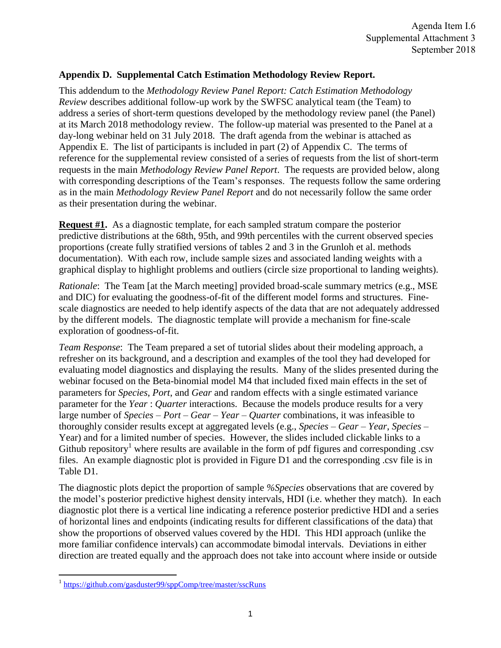## **Appendix D. Supplemental Catch Estimation Methodology Review Report.**

This addendum to the *Methodology Review Panel Report: Catch Estimation Methodology Review* describes additional follow-up work by the SWFSC analytical team (the Team) to address a series of short-term questions developed by the methodology review panel (the Panel) at its March 2018 methodology review. The follow-up material was presented to the Panel at a day-long webinar held on 31 July 2018. The draft agenda from the webinar is attached as Appendix E. The list of participants is included in part (2) of Appendix C. The terms of reference for the supplemental review consisted of a series of requests from the list of short-term requests in the main *Methodology Review Panel Report*. The requests are provided below, along with corresponding descriptions of the Team's responses. The requests follow the same ordering as in the main *Methodology Review Panel Report* and do not necessarily follow the same order as their presentation during the webinar.

**Request #1.** As a diagnostic template, for each sampled stratum compare the posterior predictive distributions at the 68th, 95th, and 99th percentiles with the current observed species proportions (create fully stratified versions of tables 2 and 3 in the Grunloh et al. methods documentation). With each row, include sample sizes and associated landing weights with a graphical display to highlight problems and outliers (circle size proportional to landing weights).

*Rationale*: The Team [at the March meeting] provided broad-scale summary metrics (e.g., MSE) and DIC) for evaluating the goodness-of-fit of the different model forms and structures. Finescale diagnostics are needed to help identify aspects of the data that are not adequately addressed by the different models. The diagnostic template will provide a mechanism for fine-scale exploration of goodness-of-fit.

*Team Response*: The Team prepared a set of tutorial slides about their modeling approach, a refresher on its background, and a description and examples of the tool they had developed for evaluating model diagnostics and displaying the results. Many of the slides presented during the webinar focused on the Beta-binomial model M4 that included fixed main effects in the set of parameters for *Species*, *Port*, and *Gear* and random effects with a single estimated variance parameter for the *Year* : *Quarter* interactions. Because the models produce results for a very large number of *Species* – *Port* – *Gear* – *Year* – *Quarter* combinations, it was infeasible to thoroughly consider results except at aggregated levels (e.g., *Species* – *Gear* – *Year*, *Species* – Year) and for a limited number of species. However, the slides included clickable links to a Github repository<sup>1</sup> where results are available in the form of pdf figures and corresponding .csv files. An example diagnostic plot is provided in Figure D1 and the corresponding .csv file is in Table D1.

The diagnostic plots depict the proportion of sample *%Species* observations that are covered by the model's posterior predictive highest density intervals, HDI (i.e. whether they match). In each diagnostic plot there is a vertical line indicating a reference posterior predictive HDI and a series of horizontal lines and endpoints (indicating results for different classifications of the data) that show the proportions of observed values covered by the HDI. This HDI approach (unlike the more familiar confidence intervals) can accommodate bimodal intervals. Deviations in either direction are treated equally and the approach does not take into account where inside or outside

<sup>&</sup>lt;sup>1</sup> <https://github.com/gasduster99/sppComp/tree/master/sscRuns>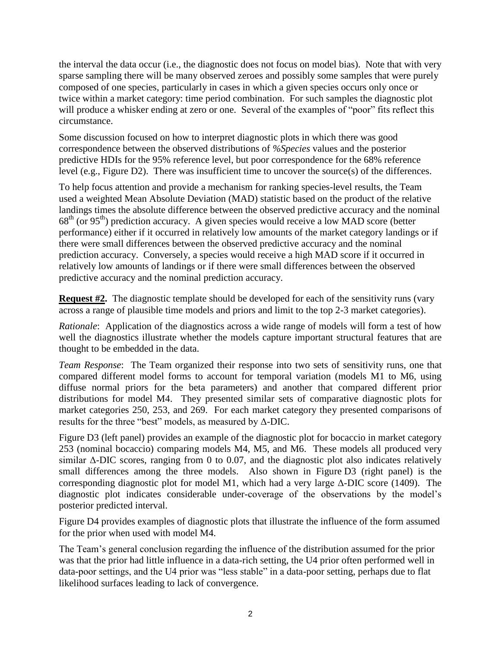the interval the data occur (i.e., the diagnostic does not focus on model bias). Note that with very sparse sampling there will be many observed zeroes and possibly some samples that were purely composed of one species, particularly in cases in which a given species occurs only once or twice within a market category: time period combination. For such samples the diagnostic plot will produce a whisker ending at zero or one. Several of the examples of "poor" fits reflect this circumstance.

Some discussion focused on how to interpret diagnostic plots in which there was good correspondence between the observed distributions of *%Species* values and the posterior predictive HDIs for the 95% reference level, but poor correspondence for the 68% reference level (e.g., Figure D2). There was insufficient time to uncover the source(s) of the differences.

To help focus attention and provide a mechanism for ranking species-level results, the Team used a weighted Mean Absolute Deviation (MAD) statistic based on the product of the relative landings times the absolute difference between the observed predictive accuracy and the nominal 68th (or 95th) prediction accuracy. A given species would receive a low MAD score (better performance) either if it occurred in relatively low amounts of the market category landings or if there were small differences between the observed predictive accuracy and the nominal prediction accuracy. Conversely, a species would receive a high MAD score if it occurred in relatively low amounts of landings or if there were small differences between the observed predictive accuracy and the nominal prediction accuracy.

**Request #2.** The diagnostic template should be developed for each of the sensitivity runs (vary across a range of plausible time models and priors and limit to the top 2-3 market categories).

*Rationale*: Application of the diagnostics across a wide range of models will form a test of how well the diagnostics illustrate whether the models capture important structural features that are thought to be embedded in the data.

*Team Response*: The Team organized their response into two sets of sensitivity runs, one that compared different model forms to account for temporal variation (models M1 to M6, using diffuse normal priors for the beta parameters) and another that compared different prior distributions for model M4. They presented similar sets of comparative diagnostic plots for market categories 250, 253, and 269. For each market category they presented comparisons of results for the three "best" models, as measured by Δ-DIC.

Figure D3 (left panel) provides an example of the diagnostic plot for bocaccio in market category 253 (nominal bocaccio) comparing models M4, M5, and M6. These models all produced very similar  $\triangle$ -DIC scores, ranging from 0 to 0.07, and the diagnostic plot also indicates relatively small differences among the three models. Also shown in Figure D3 (right panel) is the corresponding diagnostic plot for model M1, which had a very large  $\Delta$ -DIC score (1409). The diagnostic plot indicates considerable under-coverage of the observations by the model's posterior predicted interval.

Figure D4 provides examples of diagnostic plots that illustrate the influence of the form assumed for the prior when used with model M4.

The Team's general conclusion regarding the influence of the distribution assumed for the prior was that the prior had little influence in a data-rich setting, the U4 prior often performed well in data-poor settings, and the U4 prior was "less stable" in a data-poor setting, perhaps due to flat likelihood surfaces leading to lack of convergence.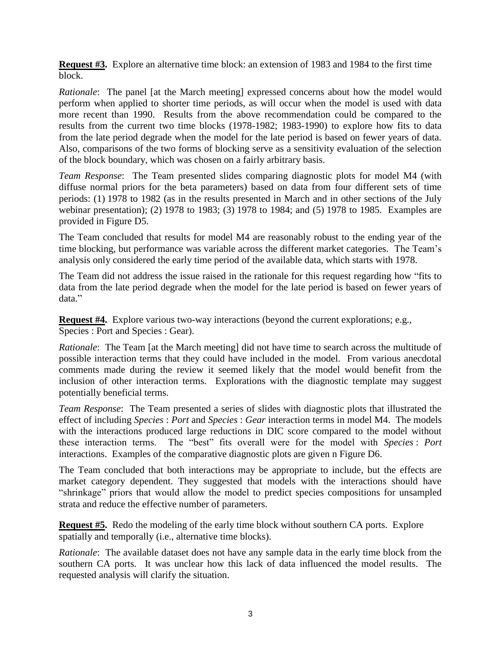**Request #3.** Explore an alternative time block: an extension of 1983 and 1984 to the first time block.

*Rationale*: The panel [at the March meeting] expressed concerns about how the model would perform when applied to shorter time periods, as will occur when the model is used with data more recent than 1990. Results from the above recommendation could be compared to the results from the current two time blocks (1978-1982; 1983-1990) to explore how fits to data from the late period degrade when the model for the late period is based on fewer years of data. Also, comparisons of the two forms of blocking serve as a sensitivity evaluation of the selection of the block boundary, which was chosen on a fairly arbitrary basis.

*Team Response*: The Team presented slides comparing diagnostic plots for model M4 (with diffuse normal priors for the beta parameters) based on data from four different sets of time periods: (1) 1978 to 1982 (as in the results presented in March and in other sections of the July webinar presentation); (2) 1978 to 1983; (3) 1978 to 1984; and (5) 1978 to 1985. Examples are provided in Figure D5.

The Team concluded that results for model M4 are reasonably robust to the ending year of the time blocking, but performance was variable across the different market categories. The Team's analysis only considered the early time period of the available data, which starts with 1978.

The Team did not address the issue raised in the rationale for this request regarding how "fits to data from the late period degrade when the model for the late period is based on fewer years of data."

**Request #4.** Explore various two-way interactions (beyond the current explorations; e.g., Species : Port and Species : Gear).

*Rationale*: The Team [at the March meeting] did not have time to search across the multitude of possible interaction terms that they could have included in the model. From various anecdotal comments made during the review it seemed likely that the model would benefit from the inclusion of other interaction terms. Explorations with the diagnostic template may suggest potentially beneficial terms.

*Team Response*: The Team presented a series of slides with diagnostic plots that illustrated the effect of including *Species* : *Port* and *Species* : *Gear* interaction terms in model M4. The models with the interactions produced large reductions in DIC score compared to the model without these interaction terms. The "best" fits overall were for the model with *Species* : *Port* interactions. Examples of the comparative diagnostic plots are given n Figure D6.

The Team concluded that both interactions may be appropriate to include, but the effects are market category dependent. They suggested that models with the interactions should have "shrinkage" priors that would allow the model to predict species compositions for unsampled strata and reduce the effective number of parameters.

**Request #5.** Redo the modeling of the early time block without southern CA ports. Explore spatially and temporally (i.e., alternative time blocks).

*Rationale*: The available dataset does not have any sample data in the early time block from the southern CA ports. It was unclear how this lack of data influenced the model results. The requested analysis will clarify the situation.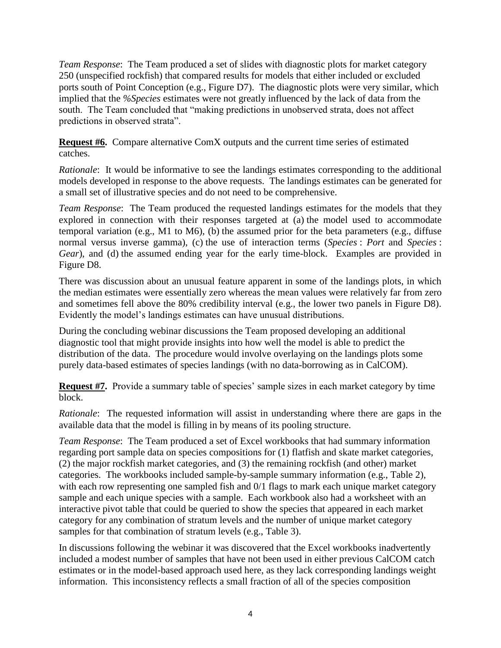*Team Response*: The Team produced a set of slides with diagnostic plots for market category 250 (unspecified rockfish) that compared results for models that either included or excluded ports south of Point Conception (e.g., Figure D7). The diagnostic plots were very similar, which implied that the *%Species* estimates were not greatly influenced by the lack of data from the south. The Team concluded that "making predictions in unobserved strata, does not affect predictions in observed strata".

**Request #6.** Compare alternative ComX outputs and the current time series of estimated catches.

*Rationale*: It would be informative to see the landings estimates corresponding to the additional models developed in response to the above requests. The landings estimates can be generated for a small set of illustrative species and do not need to be comprehensive.

*Team Response*: The Team produced the requested landings estimates for the models that they explored in connection with their responses targeted at (a) the model used to accommodate temporal variation (e.g., M1 to M6), (b) the assumed prior for the beta parameters (e.g., diffuse normal versus inverse gamma), (c) the use of interaction terms (*Species* : *Port* and *Species* : *Gear*), and (d) the assumed ending year for the early time-block. Examples are provided in Figure D8.

There was discussion about an unusual feature apparent in some of the landings plots, in which the median estimates were essentially zero whereas the mean values were relatively far from zero and sometimes fell above the 80% credibility interval (e.g., the lower two panels in Figure D8). Evidently the model's landings estimates can have unusual distributions.

During the concluding webinar discussions the Team proposed developing an additional diagnostic tool that might provide insights into how well the model is able to predict the distribution of the data. The procedure would involve overlaying on the landings plots some purely data-based estimates of species landings (with no data-borrowing as in CalCOM).

**Request #7.** Provide a summary table of species' sample sizes in each market category by time block.

*Rationale*: The requested information will assist in understanding where there are gaps in the available data that the model is filling in by means of its pooling structure.

*Team Response*: The Team produced a set of Excel workbooks that had summary information regarding port sample data on species compositions for (1) flatfish and skate market categories, (2) the major rockfish market categories, and (3) the remaining rockfish (and other) market categories. The workbooks included sample-by-sample summary information (e.g., Table 2), with each row representing one sampled fish and 0/1 flags to mark each unique market category sample and each unique species with a sample. Each workbook also had a worksheet with an interactive pivot table that could be queried to show the species that appeared in each market category for any combination of stratum levels and the number of unique market category samples for that combination of stratum levels (e.g., Table 3).

In discussions following the webinar it was discovered that the Excel workbooks inadvertently included a modest number of samples that have not been used in either previous CalCOM catch estimates or in the model-based approach used here, as they lack corresponding landings weight information. This inconsistency reflects a small fraction of all of the species composition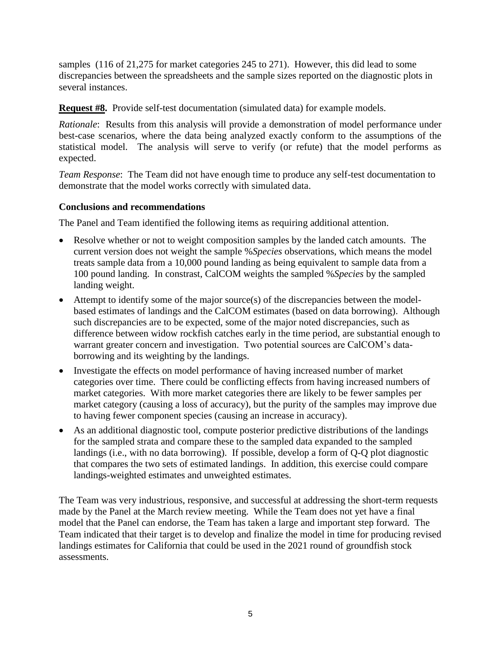samples (116 of 21,275 for market categories 245 to 271). However, this did lead to some discrepancies between the spreadsheets and the sample sizes reported on the diagnostic plots in several instances.

**Request #8.** Provide self-test documentation (simulated data) for example models.

*Rationale*: Results from this analysis will provide a demonstration of model performance under best-case scenarios, where the data being analyzed exactly conform to the assumptions of the statistical model. The analysis will serve to verify (or refute) that the model performs as expected.

*Team Response*: The Team did not have enough time to produce any self-test documentation to demonstrate that the model works correctly with simulated data.

## **Conclusions and recommendations**

The Panel and Team identified the following items as requiring additional attention.

- Resolve whether or not to weight composition samples by the landed catch amounts. The current version does not weight the sample %*Species* observations, which means the model treats sample data from a 10,000 pound landing as being equivalent to sample data from a 100 pound landing. In constrast, CalCOM weights the sampled %*Species* by the sampled landing weight.
- Attempt to identify some of the major source(s) of the discrepancies between the modelbased estimates of landings and the CalCOM estimates (based on data borrowing). Although such discrepancies are to be expected, some of the major noted discrepancies, such as difference between widow rockfish catches early in the time period, are substantial enough to warrant greater concern and investigation. Two potential sources are CalCOM's databorrowing and its weighting by the landings.
- Investigate the effects on model performance of having increased number of market categories over time. There could be conflicting effects from having increased numbers of market categories. With more market categories there are likely to be fewer samples per market category (causing a loss of accuracy), but the purity of the samples may improve due to having fewer component species (causing an increase in accuracy).
- As an additional diagnostic tool, compute posterior predictive distributions of the landings for the sampled strata and compare these to the sampled data expanded to the sampled landings (i.e., with no data borrowing). If possible, develop a form of Q-Q plot diagnostic that compares the two sets of estimated landings. In addition, this exercise could compare landings-weighted estimates and unweighted estimates.

The Team was very industrious, responsive, and successful at addressing the short-term requests made by the Panel at the March review meeting. While the Team does not yet have a final model that the Panel can endorse, the Team has taken a large and important step forward. The Team indicated that their target is to develop and finalize the model in time for producing revised landings estimates for California that could be used in the 2021 round of groundfish stock assessments.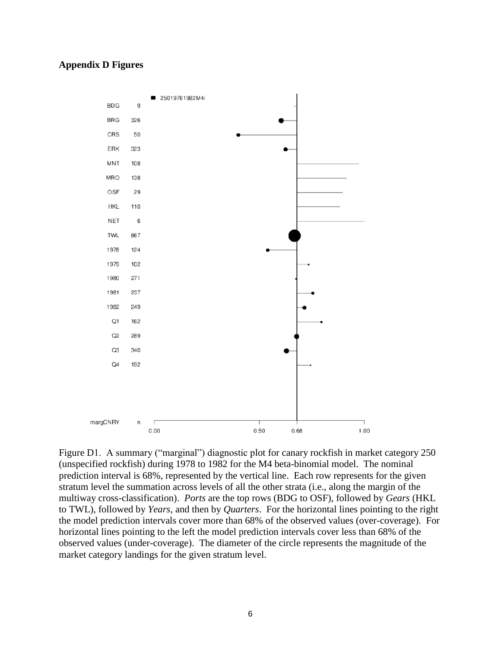## **Appendix D Figures**



Figure D1. A summary ("marginal") diagnostic plot for canary rockfish in market category 250 (unspecified rockfish) during 1978 to 1982 for the M4 beta-binomial model. The nominal prediction interval is 68%, represented by the vertical line. Each row represents for the given stratum level the summation across levels of all the other strata (i.e., along the margin of the multiway cross-classification). *Ports* are the top rows (BDG to OSF), followed by *Gears* (HKL to TWL), followed by *Years*, and then by *Quarters*. For the horizontal lines pointing to the right the model prediction intervals cover more than 68% of the observed values (over-coverage). For horizontal lines pointing to the left the model prediction intervals cover less than 68% of the observed values (under-coverage). The diameter of the circle represents the magnitude of the market category landings for the given stratum level.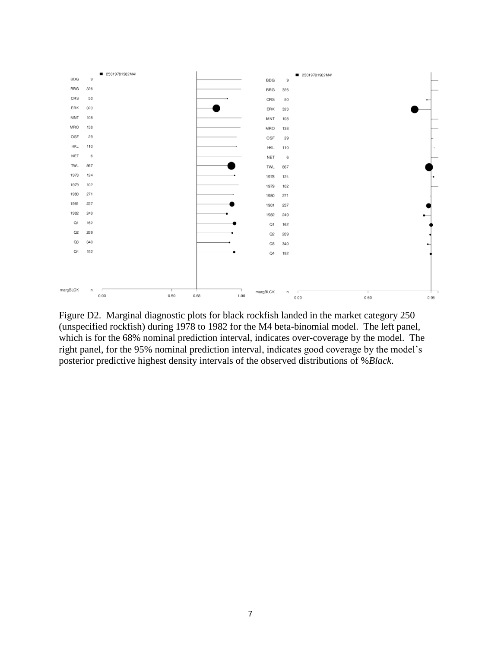

Figure D2. Marginal diagnostic plots for black rockfish landed in the market category 250 (unspecified rockfish) during 1978 to 1982 for the M4 beta-binomial model. The left panel, which is for the 68% nominal prediction interval, indicates over-coverage by the model. The right panel, for the 95% nominal prediction interval, indicates good coverage by the model's posterior predictive highest density intervals of the observed distributions of %*Black*.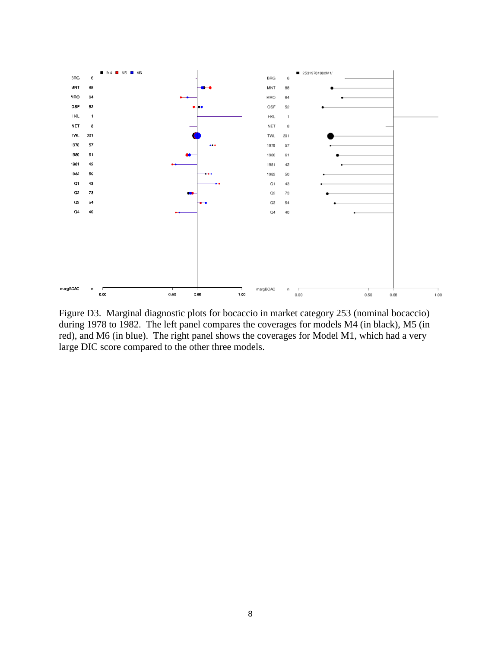

Figure D3. Marginal diagnostic plots for bocaccio in market category 253 (nominal bocaccio) during 1978 to 1982. The left panel compares the coverages for models M4 (in black), M5 (in red), and M6 (in blue). The right panel shows the coverages for Model M1, which had a very large DIC score compared to the other three models.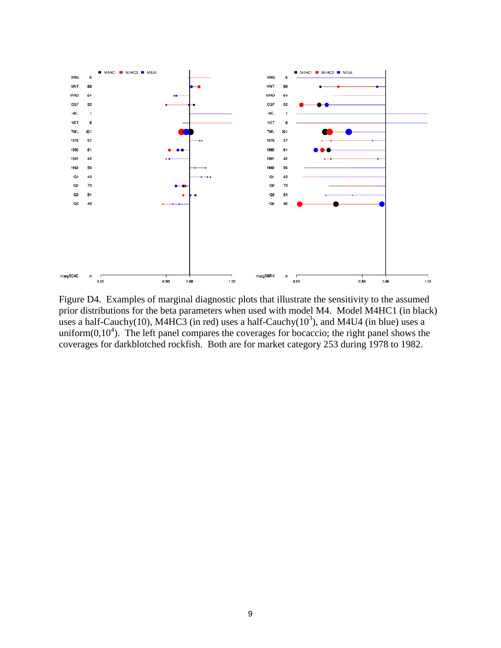

Figure D4. Examples of marginal diagnostic plots that illustrate the sensitivity to the assumed prior distributions for the beta parameters when used with model M4. Model M4HC1 (in black) uses a half-Cauchy(10), M4HC3 (in red) uses a half-Cauchy( $10^3$ ), and M4U4 (in blue) uses a uniform $(0,10<sup>4</sup>)$ . The left panel compares the coverages for bocaccio; the right panel shows the coverages for darkblotched rockfish. Both are for market category 253 during 1978 to 1982.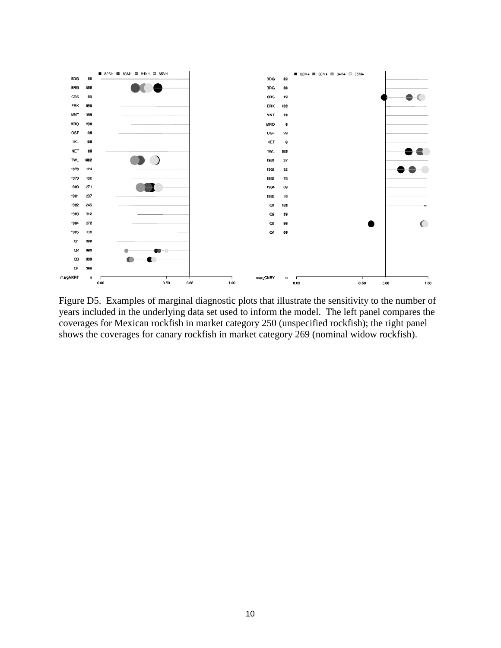

Figure D5. Examples of marginal diagnostic plots that illustrate the sensitivity to the number of years included in the underlying data set used to inform the model. The left panel compares the coverages for Mexican rockfish in market category 250 (unspecified rockfish); the right panel shows the coverages for canary rockfish in market category 269 (nominal widow rockfish).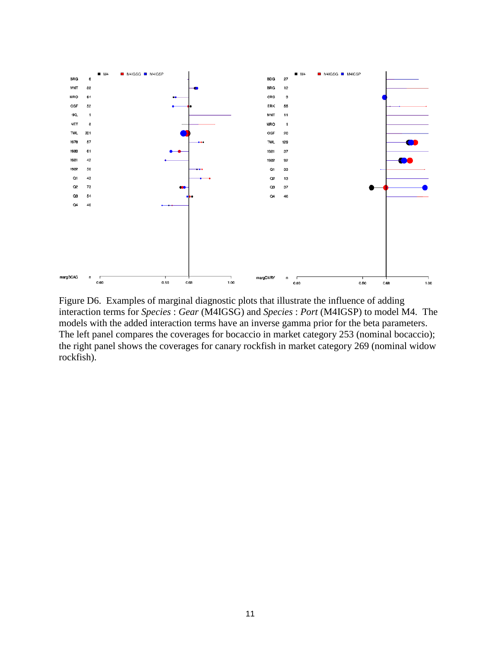

Figure D6. Examples of marginal diagnostic plots that illustrate the influence of adding interaction terms for *Species* : *Gear* (M4IGSG) and *Species* : *Port* (M4IGSP) to model M4. The models with the added interaction terms have an inverse gamma prior for the beta parameters. The left panel compares the coverages for bocaccio in market category 253 (nominal bocaccio); the right panel shows the coverages for canary rockfish in market category 269 (nominal widow rockfish).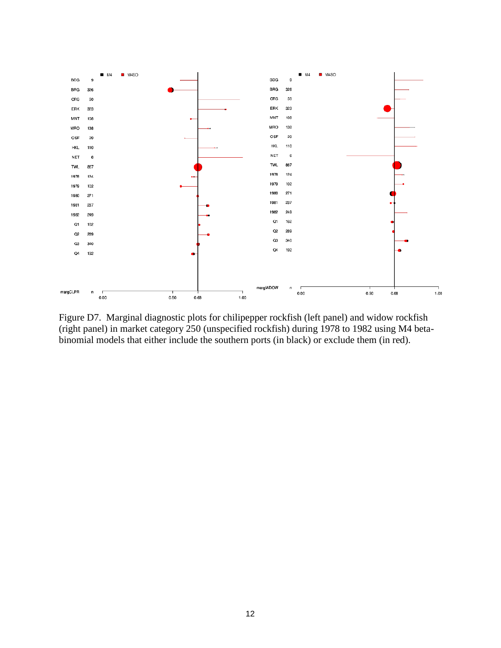

Figure D7. Marginal diagnostic plots for chilipepper rockfish (left panel) and widow rockfish (right panel) in market category 250 (unspecified rockfish) during 1978 to 1982 using M4 betabinomial models that either include the southern ports (in black) or exclude them (in red).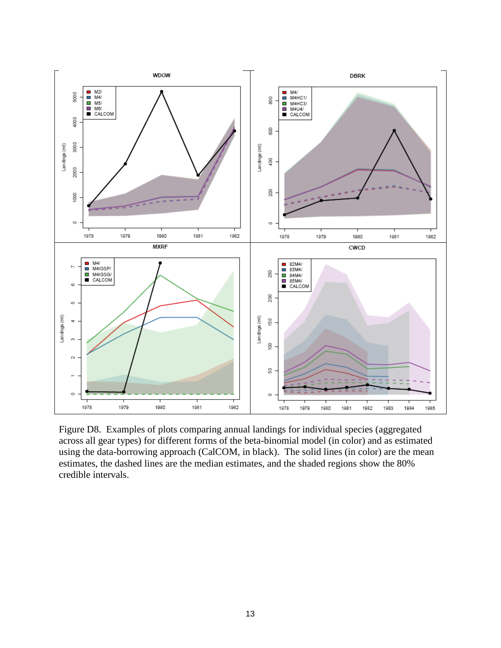

Figure D8. Examples of plots comparing annual landings for individual species (aggregated across all gear types) for different forms of the beta-binomial model (in color) and as estimated using the data-borrowing approach (CalCOM, in black). The solid lines (in color) are the mean estimates, the dashed lines are the median estimates, and the shaded regions show the 80% credible intervals.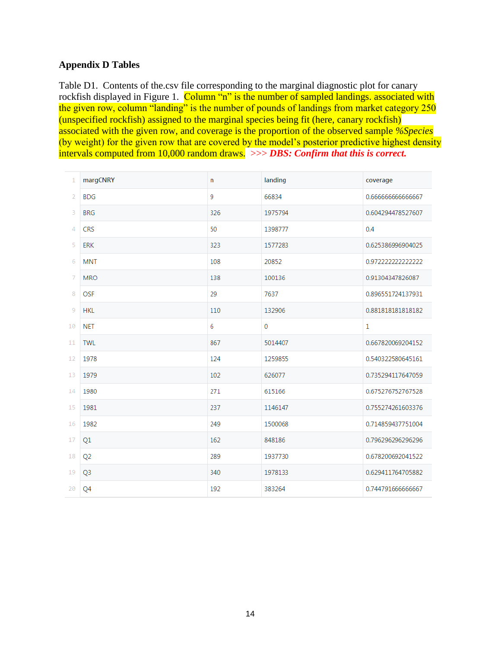## **Appendix D Tables**

Table D1. Contents of the.csv file corresponding to the marginal diagnostic plot for canary rockfish displayed in Figure 1. Column "n" is the number of sampled landings. associated with the given row, column "landing" is the number of pounds of landings from market category 250 (unspecified rockfish) assigned to the marginal species being fit (here, canary rockfish) associated with the given row, and coverage is the proportion of the observed sample *%Species* (by weight) for the given row that are covered by the model's posterior predictive highest density intervals computed from 10,000 random draws. >>> *DBS: Confirm that this is correct.*

| $\mathbf 1$    | margCNRY       | n   | landing     | coverage          |
|----------------|----------------|-----|-------------|-------------------|
| $\overline{2}$ | <b>BDG</b>     | 9   | 66834       | 0.66666666666667  |
| 3              | <b>BRG</b>     | 326 | 1975794     | 0.604294478527607 |
| $\Delta$       | <b>CRS</b>     | 50  | 1398777     | 0.4               |
| 5              | <b>ERK</b>     | 323 | 1577283     | 0.625386996904025 |
| 6              | <b>MNT</b>     | 108 | 20852       | 0.972222222222222 |
| 7              | <b>MRO</b>     | 138 | 100136      | 0.91304347826087  |
| 8              | <b>OSF</b>     | 29  | 7637        | 0.896551724137931 |
| 9              | <b>HKL</b>     | 110 | 132906      | 0.881818181818182 |
| 10             | <b>NET</b>     | 6   | $\mathbf 0$ | $\mathbf{1}$      |
| 11             | <b>TWL</b>     | 867 | 5014407     | 0.667820069204152 |
| 12             | 1978           | 124 | 1259855     | 0.540322580645161 |
| 13             | 1979           | 102 | 626077      | 0.735294117647059 |
| 14             | 1980           | 271 | 615166      | 0.675276752767528 |
| 15             | 1981           | 237 | 1146147     | 0.755274261603376 |
| 16             | 1982           | 249 | 1500068     | 0.714859437751004 |
| 17             | Q1             | 162 | 848186      | 0.796296296296296 |
| 18             | Q <sub>2</sub> | 289 | 1937730     | 0.678200692041522 |
| 19             | Q <sub>3</sub> | 340 | 1978133     | 0.629411764705882 |
| 20             | Q4             | 192 | 383264      | 0.744791666666667 |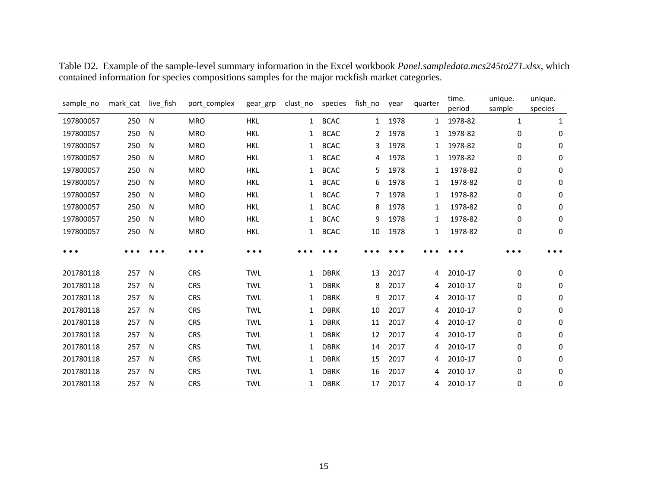| sample_no | mark_cat | live_fish | port_complex | gear_grp   | clust_no     | species     | fish_no | year | quarter | time.<br>period | unique.<br>sample | unique.<br>species |
|-----------|----------|-----------|--------------|------------|--------------|-------------|---------|------|---------|-----------------|-------------------|--------------------|
| 197800057 | 250      | N         | <b>MRO</b>   | <b>HKL</b> | $\mathbf{1}$ | <b>BCAC</b> | 1       | 1978 | 1       | 1978-82         | 1                 | 1                  |
| 197800057 | 250      | N         | <b>MRO</b>   | <b>HKL</b> | $\mathbf{1}$ | <b>BCAC</b> | 2       | 1978 | 1       | 1978-82         | 0                 | 0                  |
| 197800057 | 250      | N         | <b>MRO</b>   | <b>HKL</b> | 1            | <b>BCAC</b> | 3       | 1978 | 1       | 1978-82         | 0                 | 0                  |
| 197800057 | 250      | N         | <b>MRO</b>   | <b>HKL</b> | 1            | <b>BCAC</b> | 4       | 1978 | 1       | 1978-82         | 0                 | 0                  |
| 197800057 | 250      | N         | <b>MRO</b>   | <b>HKL</b> | $\mathbf{1}$ | <b>BCAC</b> | 5       | 1978 | 1       | 1978-82         | 0                 | 0                  |
| 197800057 | 250      | N         | <b>MRO</b>   | <b>HKL</b> | 1            | <b>BCAC</b> | 6       | 1978 | 1       | 1978-82         | 0                 | 0                  |
| 197800057 | 250      | N         | <b>MRO</b>   | <b>HKL</b> | $\mathbf{1}$ | <b>BCAC</b> | 7       | 1978 | 1       | 1978-82         | 0                 | 0                  |
| 197800057 | 250      | N         | <b>MRO</b>   | <b>HKL</b> | $\mathbf{1}$ | <b>BCAC</b> | 8       | 1978 | 1       | 1978-82         | 0                 | 0                  |
| 197800057 | 250      | N         | <b>MRO</b>   | <b>HKL</b> | $\mathbf{1}$ | <b>BCAC</b> | 9       | 1978 | 1       | 1978-82         | 0                 | 0                  |
| 197800057 | 250      | N         | <b>MRO</b>   | <b>HKL</b> | $\mathbf{1}$ | <b>BCAC</b> | 10      | 1978 | 1       | 1978-82         | 0                 | 0                  |
|           |          |           |              |            |              |             |         |      |         |                 |                   |                    |
|           |          |           | .            | $\cdots$   |              |             |         |      |         |                 | .                 |                    |
| 201780118 | 257      | N         | <b>CRS</b>   | <b>TWL</b> | $\mathbf{1}$ | <b>DBRK</b> | 13      | 2017 | 4       | 2010-17         | 0                 | 0                  |
| 201780118 | 257      | N         | <b>CRS</b>   | <b>TWL</b> | 1            | <b>DBRK</b> | 8       | 2017 | 4       | 2010-17         | 0                 | 0                  |
| 201780118 | 257      | N         | <b>CRS</b>   | <b>TWL</b> | 1            | <b>DBRK</b> | 9       | 2017 | 4       | 2010-17         | 0                 | 0                  |
| 201780118 | 257      | N         | <b>CRS</b>   | <b>TWL</b> | $\mathbf{1}$ | <b>DBRK</b> | 10      | 2017 | 4       | 2010-17         | 0                 | 0                  |
| 201780118 | 257      | N         | <b>CRS</b>   | <b>TWL</b> | 1            | <b>DBRK</b> | 11      | 2017 | 4       | 2010-17         | 0                 | 0                  |
| 201780118 | 257      | N         | <b>CRS</b>   | <b>TWL</b> | $\mathbf{1}$ | <b>DBRK</b> | 12      | 2017 | 4       | 2010-17         | 0                 | 0                  |
| 201780118 | 257      | N         | <b>CRS</b>   | <b>TWL</b> | $\mathbf{1}$ | <b>DBRK</b> | 14      | 2017 | 4       | 2010-17         | 0                 | 0                  |
| 201780118 | 257      | N         | <b>CRS</b>   | <b>TWL</b> | 1            | <b>DBRK</b> | 15      | 2017 | 4       | 2010-17         | 0                 | 0                  |
| 201780118 | 257      | N         | <b>CRS</b>   | <b>TWL</b> | 1            | <b>DBRK</b> | 16      | 2017 | 4       | 2010-17         | 0                 | 0                  |
| 201780118 | 257      | N         | <b>CRS</b>   | <b>TWL</b> | $\mathbf{1}$ | <b>DBRK</b> | 17      | 2017 | 4       | 2010-17         | 0                 | 0                  |

Table D2. Example of the sample-level summary information in the Excel workbook *Panel.sampledata.mcs245to271.xlsx*, which contained information for species compositions samples for the major rockfish market categories.